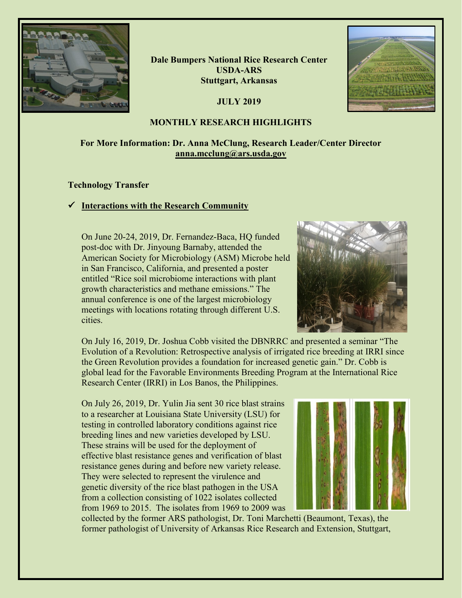

**Dale Bumpers National Rice Research Center USDA-ARS Stuttgart, Arkansas**

**JULY 2019**



### **MONTHLY RESEARCH HIGHLIGHTS**

# **For More Information: Dr. Anna McClung, Research Leader/Center Director [anna.mcclung@ars.usda.gov](mailto:anna.mcclung@ars.usda.gov)**

### **Technology Transfer**

# **Interactions with the Research Community**

On June 20-24, 2019, Dr. Fernandez-Baca, HQ funded post-doc with Dr. Jinyoung Barnaby, attended the American Society for Microbiology (ASM) Microbe held in San Francisco, California, and presented a poster entitled "Rice soil microbiome interactions with plant growth characteristics and methane emissions." The annual conference is one of the largest microbiology meetings with locations rotating through different U.S. cities.



On July 16, 2019, Dr. Joshua Cobb visited the DBNRRC and presented a seminar "The Evolution of a Revolution: Retrospective analysis of irrigated rice breeding at IRRI since the Green Revolution provides a foundation for increased genetic gain." Dr. Cobb is global lead for the Favorable Environments Breeding Program at the International Rice Research Center (IRRI) in Los Banos, the Philippines.

On July 26, 2019, Dr. Yulin Jia sent 30 rice blast strains to a researcher at Louisiana State University (LSU) for testing in controlled laboratory conditions against rice breeding lines and new varieties developed by LSU. These strains will be used for the deployment of effective blast resistance genes and verification of blast resistance genes during and before new variety release. They were selected to represent the virulence and genetic diversity of the rice blast pathogen in the USA from a collection consisting of 1022 isolates collected from 1969 to 2015. The isolates from 1969 to 2009 was



collected by the former ARS pathologist, Dr. Toni Marchetti (Beaumont, Texas), the former pathologist of University of Arkansas Rice Research and Extension, Stuttgart,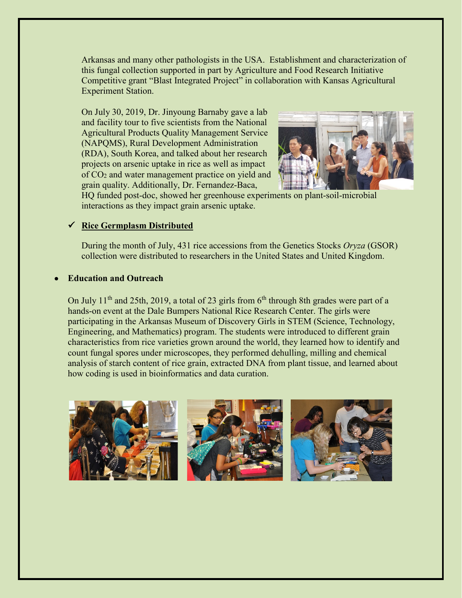Arkansas and many other pathologists in the USA. Establishment and characterization of this fungal collection supported in part by Agriculture and Food Research Initiative Competitive grant "Blast Integrated Project" in collaboration with Kansas Agricultural Experiment Station.

On July 30, 2019, Dr. Jinyoung Barnaby gave a lab and facility tour to five scientists from the National Agricultural Products Quality Management Service (NAPQMS), Rural Development Administration (RDA), South Korea, and talked about her research projects on arsenic uptake in rice as well as impact of CO2 and water management practice on yield and grain quality. Additionally, Dr. Fernandez-Baca,



HQ funded post-doc, showed her greenhouse experiments on plant-soil-microbial interactions as they impact grain arsenic uptake.

### **Rice Germplasm Distributed**

During the month of July, 431 rice accessions from the Genetics Stocks *Oryza* (GSOR) collection were distributed to researchers in the United States and United Kingdom.

### • **Education and Outreach**

On July 11<sup>th</sup> and 25th, 2019, a total of 23 girls from  $6<sup>th</sup>$  through 8th grades were part of a hands-on event at the Dale Bumpers National Rice Research Center. The girls were participating in the Arkansas Museum of Discovery Girls in STEM (Science, Technology, Engineering, and Mathematics) program. The students were introduced to different grain characteristics from rice varieties grown around the world, they learned how to identify and count fungal spores under microscopes, they performed dehulling, milling and chemical analysis of starch content of rice grain, extracted DNA from plant tissue, and learned about how coding is used in bioinformatics and data curation.